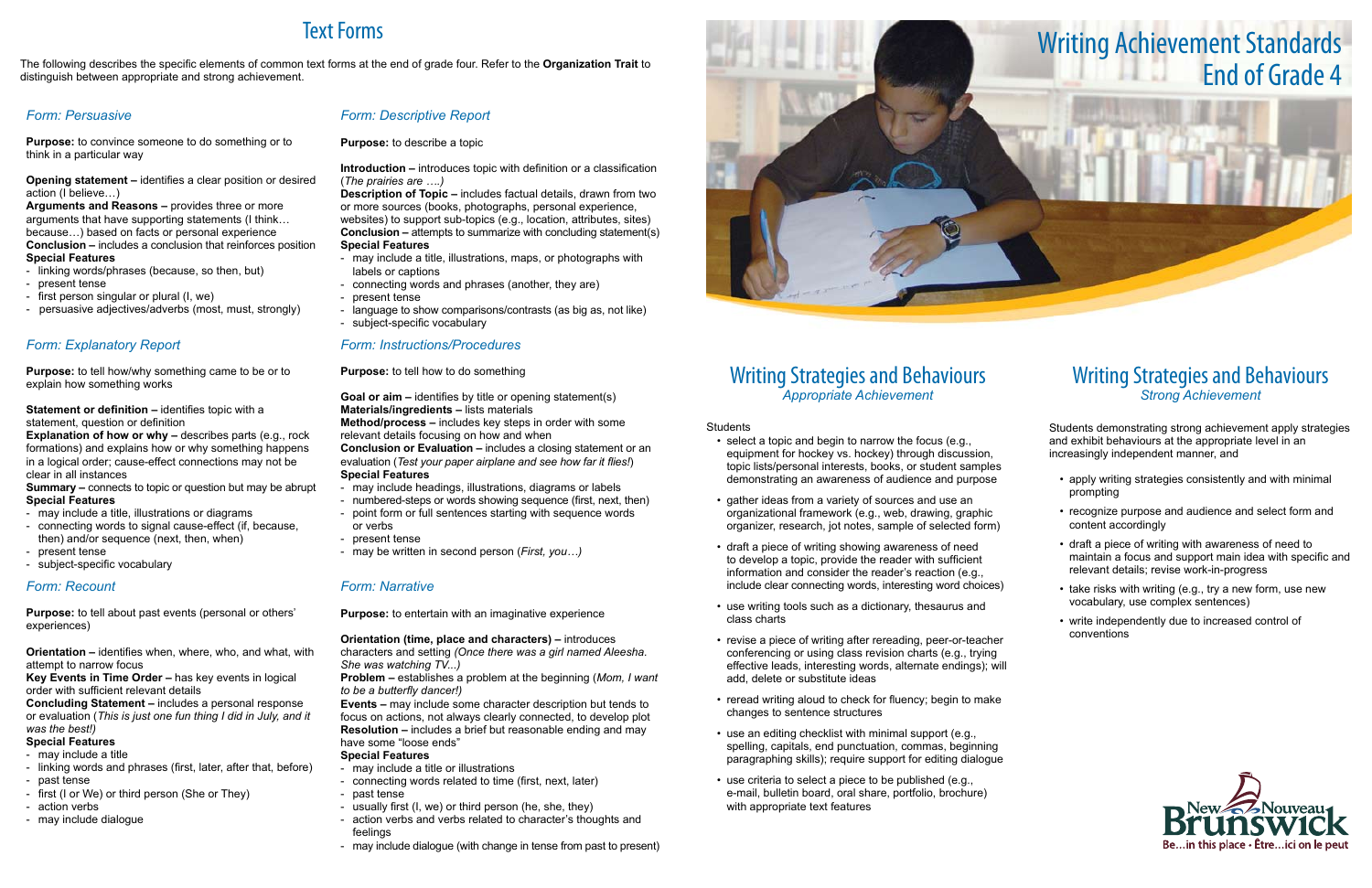# Writing Strategies and Behaviours *Appropriate Achievement*

#### **Students**

- select a topic and begin to narrow the focus (e.g., equipment for hockey vs. hockey) through discussion, topic lists/personal interests, books, or student samples demonstrating an awareness of audience and purpose
- gather ideas from a variety of sources and use an organizational framework (e.g., web, drawing, graphic organizer, research, jot notes, sample of selected form)
- draft a piece of writing showing awareness of need to develop a topic, provide the reader with sufficient information and consider the reader's reaction (e.g., include clear connecting words, interesting word choices)
- use writing tools such as a dictionary, thesaurus and class charts
- revise a piece of writing after rereading, peer-or-teacher conferencing or using class revision charts (e.g., trying effective leads, interesting words, alternate endings); will add, delete or substitute ideas
- reread writing aloud to check for fluency; begin to make changes to sentence structures
- use an editing checklist with minimal support (e.g., spelling, capitals, end punctuation, commas, beginning paragraphing skills); require support for editing dialogue
- use criteria to select a piece to be published (e.g., e-mail, bulletin board, oral share, portfolio, brochure) with appropriate text features
- 

- apply writing strategies consistently and with minimal prompting
- recognize purpose and audience and select form and content accordingly
- draft a piece of writing with awareness of need to maintain a focus and support main idea with specific and relevant details; revise work-in-progress
- take risks with writing (e.g., try a new form, use new vocabulary, use complex sentences)
- write independently due to increased control of conventions



**Arguments and Reasons – provides three or more** arguments that have supporting statements (I think… because…) based on facts or personal experience **Conclusion –** includes a conclusion that reinforces position **Special Features**

# Writing Strategies and Behaviours *Strong Achievement*

Students demonstrating strong achievement apply strategies and exhibit behaviours at the appropriate level in an increasingly independent manner, and

#### **Statement or definition – identifies topic with a** statement, question or definition

**Explanation of how or why –** describes parts (e.g., rock) formations) and explains how or why something happens in a logical order; cause-effect connections may not be clear in all instances

# Text Forms

The following describes the specific elements of common text forms at the end of grade four. Refer to the **Organization Trait** to distinguish between appropriate and strong achievement.

## *Form: Persuasive*

**Purpose:** to convince someone to do something or to think in a particular way

**Opening statement –** identifies a clear position or desired action (I believe…)

- linking words/phrases (because, so then, but)
- present tense

- first person singular or plural (I, we)

- persuasive adjectives/adverbs (most, must, strongly)

**Orientation (time, place and characters) –** introduces characters and setting *(Once there was a girl named Aleesha. She was watching TV...)*

## *Form: Descriptive Report*

**Purpose:** to describe a topic

**Introduction –** introduces topic with definition or a classification (*The prairies are ….)*

**Description of Topic –** includes factual details, drawn from two or more sources (books, photographs, personal experience, websites) to support sub-topics (e.g., location, attributes, sites) **Conclusion – attempts to summarize with concluding statement(s) Special Features**

- may include a title, illustrations, maps, or photographs with labels or captions
- connecting words and phrases (another, they are)
- present tense
- language to show comparisons/contrasts (as big as, not like)
- subject-specific vocabulary

## *Form: Explanatory Report*

**Purpose:** to tell how/why something came to be or to explain how something works

**Summary –** connects to topic or question but may be abrupt **Special Features**

- may include a title, illustrations or diagrams
- connecting words to signal cause-effect (if, because, then) and/or sequence (next, then, when)
- present tense
- subject-specific vocabulary

### *Form: Instructions/Procedures*

**Purpose:** to tell how to do something

**Goal or aim –** identifies by title or opening statement(s) **Materials/ingredients –** lists materials

**Method/process –** includes key steps in order with some relevant details focusing on how and when

**Conclusion or Evaluation –** includes a closing statement or an evaluation (*Test your paper airplane and see how far it flies!*) **Special Features**

- may include headings, illustrations, diagrams or labels
- numbered-steps or words showing sequence (first, next, then)
- point form or full sentences starting with sequence words
- or verbs - present tense
- may be written in second person (*First, you…)*

## *Form: Recount*

**Purpose:** to tell about past events (personal or others' experiences)

**Orientation –** identifies when, where, who, and what, with attempt to narrow focus

**Key Events in Time Order –** has key events in logical order with sufficient relevant details

**Concluding Statement –** includes a personal response or evaluation (*This is just one fun thing I did in July, and it was the best!)*

## **Special Features**

- may include a title
- linking words and phrases (first, later, after that, before) - past tense
- first (I or We) or third person (She or They)
- action verbs
- may include dialogue

## *Form: Narrative*

**Purpose:** to entertain with an imaginative experience

**Problem –** establishes a problem at the beginning (*Mom, I want to be a butterfly dancer!)*

**Events –** may include some character description but tends to focus on actions, not always clearly connected, to develop plot **Resolution –** includes a brief but reasonable ending and may have some "loose ends"

## **Special Features**

- may include a title or illustrations
- connecting words related to time (first, next, later)
- past tense
- usually first (I, we) or third person (he, she, they)
- action verbs and verbs related to character's thoughts and feelings
- may include dialogue (with change in tense from past to present)